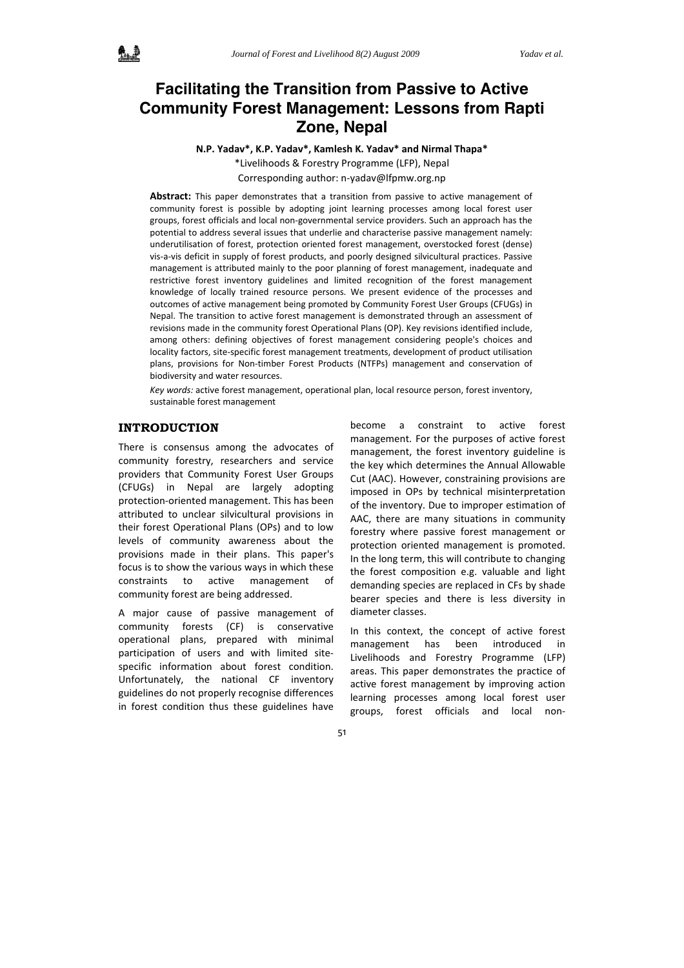# **Facilitating the Transition from Passive to Active Community Forest Management: Lessons from Rapti Zone, Nepal**

**N.P. Yadav\*, K.P. Yadav\*, Kamlesh K. Yadav\* and Nirmal Thapa\***

\*Livelihoods & Forestry Programme (LFP), Nepal

Corresponding author: n‐yadav@lfpmw.org.np

**Abstract:** This paper demonstrates that a transition from passive to active management of community forest is possible by adopting joint learning processes among local forest user groups, forest officials and local non‐governmental service providers. Such an approach has the potential to address several issues that underlie and characterise passive management namely: underutilisation of forest, protection oriented forest management, overstocked forest (dense) vis‐a‐vis deficit in supply of forest products, and poorly designed silvicultural practices. Passive management is attributed mainly to the poor planning of forest management, inadequate and restrictive forest inventory guidelines and limited recognition of the forest management knowledge of locally trained resource persons. We present evidence of the processes and outcomes of active management being promoted by Community Forest User Groups (CFUGs) in Nepal. The transition to active forest management is demonstrated through an assessment of revisions made in the community forest Operational Plans (OP). Key revisions identified include, among others: defining objectives of forest management considering people's choices and locality factors, site‐specific forest management treatments, development of product utilisation plans, provisions for Non-timber Forest Products (NTFPs) management and conservation of biodiversity and water resources.

*Key words:* active forest management, operational plan, local resource person, forest inventory, sustainable forest management

# **INTRODUCTION**

There is consensus among the advocates of community forestry, researchers and service providers that Community Forest User Groups (CFUGs) in Nepal are largely adopting protection‐oriented management. This has been attributed to unclear silvicultural provisions in their forest Operational Plans (OPs) and to low levels of community awareness about the provisions made in their plans. This paper's focus is to show the various ways in which these constraints to active management of community forest are being addressed.

A major cause of passive management of community forests (CF) is conservative operational plans, prepared with minimal participation of users and with limited sitespecific information about forest condition. Unfortunately, the national CF inventory guidelines do not properly recognise differences in forest condition thus these guidelines have

become a constraint to active forest management. For the purposes of active forest management, the forest inventory guideline is the key which determines the Annual Allowable Cut (AAC). However, constraining provisions are imposed in OPs by technical misinterpretation of the inventory. Due to improper estimation of AAC, there are many situations in community forestry where passive forest management or protection oriented management is promoted. In the long term, this will contribute to changing the forest composition e.g. valuable and light demanding species are replaced in CFs by shade bearer species and there is less diversity in diameter classes.

In this context, the concept of active forest management has been introduced in Livelihoods and Forestry Programme (LFP) areas. This paper demonstrates the practice of active forest management by improving action learning processes among local forest user groups, forest officials and local non‐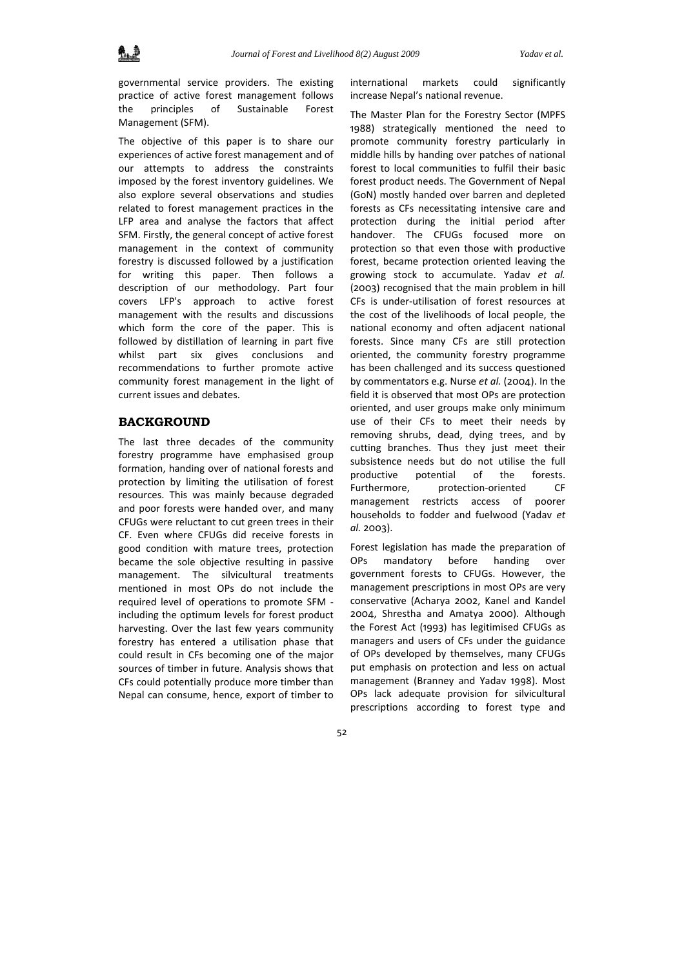governmental service providers. The existing practice of active forest management follows the principles of Sustainable Forest Management (SFM).

The objective of this paper is to share our experiences of active forest management and of our attempts to address the constraints imposed by the forest inventory guidelines. We also explore several observations and studies related to forest management practices in the LFP area and analyse the factors that affect SFM. Firstly, the general concept of active forest management in the context of community forestry is discussed followed by a justification for writing this paper. Then follows a description of our methodology. Part four covers LFP's approach to active forest management with the results and discussions which form the core of the paper. This is followed by distillation of learning in part five whilst part six gives conclusions and recommendations to further promote active community forest management in the light of current issues and debates.

## **BACKGROUND**

The last three decades of the community forestry programme have emphasised group formation, handing over of national forests and protection by limiting the utilisation of forest resources. This was mainly because degraded and poor forests were handed over, and many CFUGs were reluctant to cut green trees in their CF. Even where CFUGs did receive forests in good condition with mature trees, protection became the sole objective resulting in passive management. The silvicultural treatments mentioned in most OPs do not include the required level of operations to promote SFM ‐ including the optimum levels for forest product harvesting. Over the last few years community forestry has entered a utilisation phase that could result in CFs becoming one of the major sources of timber in future. Analysis shows that CFs could potentially produce more timber than Nepal can consume, hence, export of timber to

international markets could significantly increase Nepal's national revenue.

The Master Plan for the Forestry Sector (MPFS 1988) strategically mentioned the need to promote community forestry particularly in middle hills by handing over patches of national forest to local communities to fulfil their basic forest product needs. The Government of Nepal (GoN) mostly handed over barren and depleted forests as CFs necessitating intensive care and protection during the initial period after handover. The CFUGs focused more on protection so that even those with productive forest, became protection oriented leaving the growing stock to accumulate. Yadav *et al.* (2003) recognised that the main problem in hill CFs is under‐utilisation of forest resources at the cost of the livelihoods of local people, the national economy and often adjacent national forests. Since many CFs are still protection oriented, the community forestry programme has been challenged and its success questioned by commentators e.g. Nurse *et al.* (2004). In the field it is observed that most OPs are protection oriented, and user groups make only minimum use of their CFs to meet their needs by removing shrubs, dead, dying trees, and by cutting branches. Thus they just meet their subsistence needs but do not utilise the full productive potential of the forests. Furthermore, protection-oriented CF management restricts access of poorer households to fodder and fuelwood (Yadav *et al.* 2003).

Forest legislation has made the preparation of OPs mandatory before handing over government forests to CFUGs. However, the management prescriptions in most OPs are very conservative (Acharya 2002, Kanel and Kandel 2004, Shrestha and Amatya 2000). Although the Forest Act (1993) has legitimised CFUGs as managers and users of CFs under the guidance of OPs developed by themselves, many CFUGs put emphasis on protection and less on actual management (Branney and Yadav 1998). Most OPs lack adequate provision for silvicultural prescriptions according to forest type and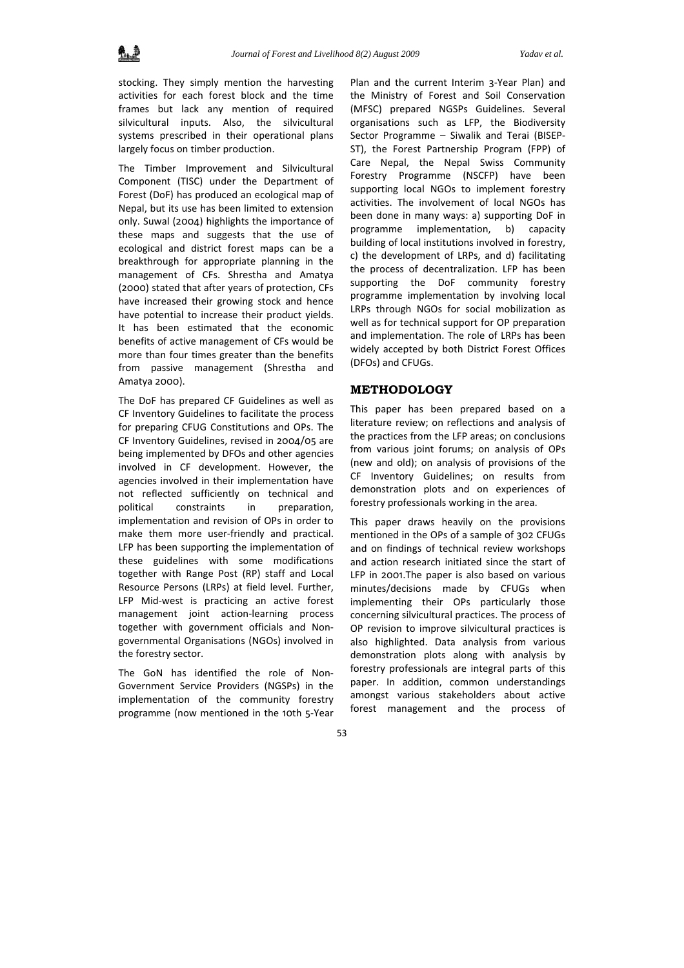stocking. They simply mention the harvesting activities for each forest block and the time frames but lack any mention of required silvicultural inputs. Also, the silvicultural systems prescribed in their operational plans largely focus on timber production.

The Timber Improvement and Silvicultural Component (TISC) under the Department of Forest (DoF) has produced an ecological map of Nepal, but its use has been limited to extension only. Suwal (2004) highlights the importance of these maps and suggests that the use of ecological and district forest maps can be a breakthrough for appropriate planning in the management of CFs. Shrestha and Amatya (2000) stated that after years of protection, CFs have increased their growing stock and hence have potential to increase their product yields. It has been estimated that the economic benefits of active management of CFs would be more than four times greater than the benefits from passive management (Shrestha and Amatya 2000).

The DoF has prepared CF Guidelines as well as CF Inventory Guidelines to facilitate the process for preparing CFUG Constitutions and OPs. The CF Inventory Guidelines, revised in 2004/05 are being implemented by DFOs and other agencies involved in CF development. However, the agencies involved in their implementation have not reflected sufficiently on technical and political constraints in preparation, implementation and revision of OPs in order to make them more user-friendly and practical. LFP has been supporting the implementation of these guidelines with some modifications together with Range Post (RP) staff and Local Resource Persons (LRPs) at field level. Further, LFP Mid‐west is practicing an active forest management joint action‐learning process together with government officials and Non‐ governmental Organisations (NGOs) involved in the forestry sector.

The GoN has identified the role of Non-Government Service Providers (NGSPs) in the implementation of the community forestry programme (now mentioned in the 10th 5‐Year

Plan and the current Interim 3‐Year Plan) and the Ministry of Forest and Soil Conservation (MFSC) prepared NGSPs Guidelines. Several organisations such as LFP, the Biodiversity Sector Programme – Siwalik and Terai (BISEP‐ ST), the Forest Partnership Program (FPP) of Care Nepal, the Nepal Swiss Community Forestry Programme (NSCFP) have been supporting local NGOs to implement forestry activities. The involvement of local NGOs has been done in many ways: a) supporting DoF in programme implementation, b) capacity building of local institutions involved in forestry, c) the development of LRPs, and d) facilitating the process of decentralization. LFP has been supporting the DoF community forestry programme implementation by involving local LRPs through NGOs for social mobilization as well as for technical support for OP preparation and implementation. The role of LRPs has been widely accepted by both District Forest Offices (DFOs) and CFUGs.

#### **METHODOLOGY**

This paper has been prepared based on a literature review; on reflections and analysis of the practices from the LFP areas; on conclusions from various joint forums; on analysis of OPs (new and old); on analysis of provisions of the CF Inventory Guidelines; on results from demonstration plots and on experiences of forestry professionals working in the area.

This paper draws heavily on the provisions mentioned in the OPs of a sample of 302 CFUGs and on findings of technical review workshops and action research initiated since the start of LFP in 2001.The paper is also based on various minutes/decisions made by CFUGs when implementing their OPs particularly those concerning silvicultural practices. The process of OP revision to improve silvicultural practices is also highlighted. Data analysis from various demonstration plots along with analysis by forestry professionals are integral parts of this paper. In addition, common understandings amongst various stakeholders about active forest management and the process of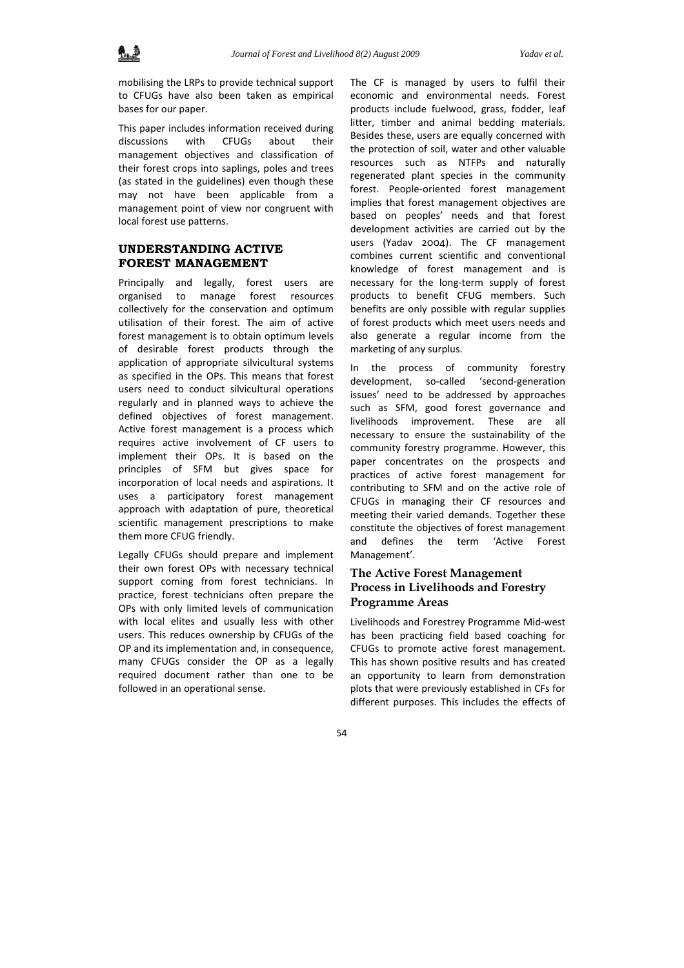mobilising the LRPs to provide technical support to CFUGs have also been taken as empirical bases for our paper.

This paper includes information received during discussions with CFUGs about their management objectives and classification of their forest crops into saplings, poles and trees (as stated in the guidelines) even though these may not have been applicable from a management point of view nor congruent with local forest use patterns.

## **UNDERSTANDING ACTIVE FOREST MANAGEMENT**

Principally and legally, forest users are organised to manage forest resources collectively for the conservation and optimum utilisation of their forest. The aim of active forest management is to obtain optimum levels of desirable forest products through the application of appropriate silvicultural systems as specified in the OPs. This means that forest users need to conduct silvicultural operations regularly and in planned ways to achieve the defined objectives of forest management. Active forest management is a process which requires active involvement of CF users to implement their OPs. It is based on the principles of SFM but gives space for incorporation of local needs and aspirations. It uses a participatory forest management approach with adaptation of pure, theoretical scientific management prescriptions to make them more CFUG friendly.

Legally CFUGs should prepare and implement their own forest OPs with necessary technical support coming from forest technicians. In practice, forest technicians often prepare the OPs with only limited levels of communication with local elites and usually less with other users. This reduces ownership by CFUGs of the OP and its implementation and, in consequence, many CFUGs consider the OP as a legally required document rather than one to be followed in an operational sense.

The CF is managed by users to fulfil their economic and environmental needs. Forest products include fuelwood, grass, fodder, leaf litter, timber and animal bedding materials. Besides these, users are equally concerned with the protection of soil, water and other valuable resources such as NTFPs and naturally regenerated plant species in the community forest. People‐oriented forest management implies that forest management objectives are based on peoples' needs and that forest development activities are carried out by the users (Yadav 2004). The CF management combines current scientific and conventional knowledge of forest management and is necessary for the long‐term supply of forest products to benefit CFUG members. Such benefits are only possible with regular supplies of forest products which meet users needs and also generate a regular income from the marketing of any surplus.

In the process of community forestry development, so-called 'second-generation issues' need to be addressed by approaches such as SFM, good forest governance and livelihoods improvement. These are all necessary to ensure the sustainability of the community forestry programme. However, this paper concentrates on the prospects and practices of active forest management for contributing to SFM and on the active role of CFUGs in managing their CF resources and meeting their varied demands. Together these constitute the objectives of forest management and defines the term 'Active Forest Management'.

## **The Active Forest Management Process in Livelihoods and Forestry Programme Areas**

Livelihoods and Forestrey Programme Mid‐west has been practicing field based coaching for CFUGs to promote active forest management. This has shown positive results and has created an opportunity to learn from demonstration plots that were previously established in CFs for different purposes. This includes the effects of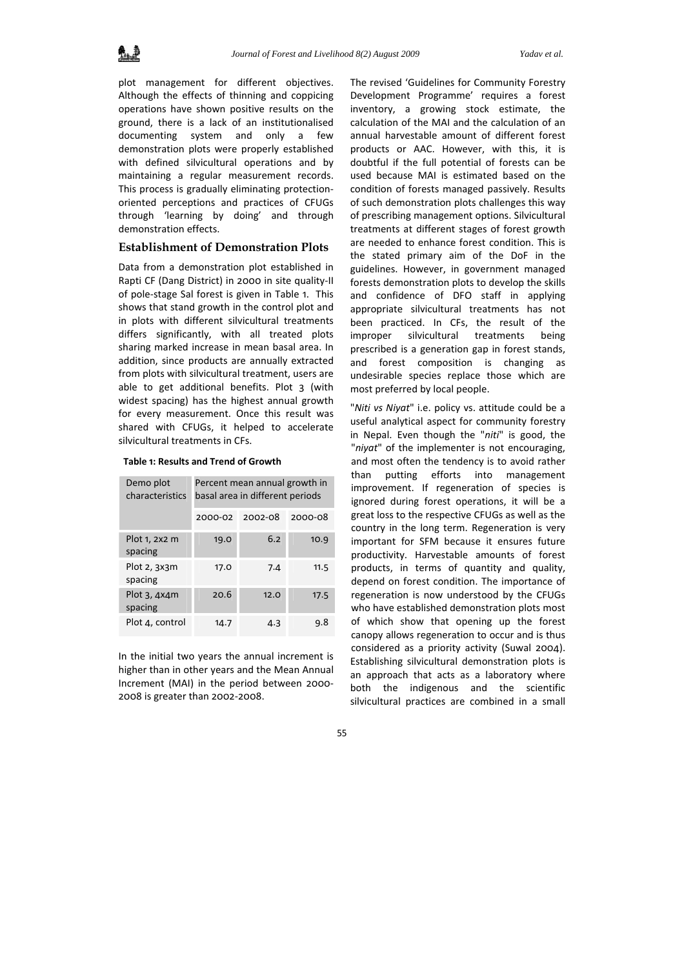plot management for different objectives. Although the effects of thinning and coppicing operations have shown positive results on the ground, there is a lack of an institutionalised documenting system and only a few demonstration plots were properly established with defined silvicultural operations and by maintaining a regular measurement records. This process is gradually eliminating protection‐ oriented perceptions and practices of CFUGs through 'learning by doing' and through demonstration effects.

## **Establishment of Demonstration Plots**

Data from a demonstration plot established in Rapti CF (Dang District) in 2000 in site quality‐II of pole‐stage Sal forest is given in Table 1. This shows that stand growth in the control plot and in plots with different silvicultural treatments differs significantly, with all treated plots sharing marked increase in mean basal area. In addition, since products are annually extracted from plots with silvicultural treatment, users are able to get additional benefits. Plot 3 (with widest spacing) has the highest annual growth for every measurement. Once this result was shared with CFUGs, it helped to accelerate silvicultural treatments in CFs.

| Demo plot<br>characteristics | Percent mean annual growth in<br>basal area in different periods |         |         |  |  |  |
|------------------------------|------------------------------------------------------------------|---------|---------|--|--|--|
|                              | 2000-02                                                          | 2002-08 | 2000-08 |  |  |  |
| Plot 1, 2x2 m<br>spacing     | 19.0                                                             | 6.2     | 10.9    |  |  |  |
| Plot 2, 3x3m<br>spacing      | 17.0                                                             | 7.4     | 11.5    |  |  |  |
| Plot $3,4x4m$<br>spacing     | 20.6                                                             | 12.0    | 17.5    |  |  |  |
| Plot 4, control              | 14.7                                                             | 4.3     | 9.8     |  |  |  |

**Table 1: Results and Trend of Growth**

In the initial two years the annual increment is higher than in other years and the Mean Annual Increment (MAI) in the period between 2000‐ 2008 is greater than 2002‐2008.

The revised 'Guidelines for Community Forestry Development Programme' requires a forest inventory, a growing stock estimate, the calculation of the MAI and the calculation of an annual harvestable amount of different forest products or AAC. However, with this, it is doubtful if the full potential of forests can be used because MAI is estimated based on the condition of forests managed passively. Results of such demonstration plots challenges this way of prescribing management options. Silvicultural treatments at different stages of forest growth are needed to enhance forest condition. This is the stated primary aim of the DoF in the guidelines. However, in government managed forests demonstration plots to develop the skills and confidence of DFO staff in applying appropriate silvicultural treatments has not been practiced. In CFs, the result of the improper silvicultural treatments being prescribed is a generation gap in forest stands, and forest composition is changing as undesirable species replace those which are most preferred by local people.

"*Niti vs Niyat*" i.e. policy vs. attitude could be a useful analytical aspect for community forestry in Nepal. Even though the "*niti*" is good, the "*niyat*" of the implementer is not encouraging, and most often the tendency is to avoid rather than putting efforts into management improvement. If regeneration of species is ignored during forest operations, it will be a great loss to the respective CFUGs as well as the country in the long term. Regeneration is very important for SFM because it ensures future productivity. Harvestable amounts of forest products, in terms of quantity and quality, depend on forest condition. The importance of regeneration is now understood by the CFUGs who have established demonstration plots most of which show that opening up the forest canopy allows regeneration to occur and is thus considered as a priority activity (Suwal 2004). Establishing silvicultural demonstration plots is an approach that acts as a laboratory where both the indigenous and the scientific silvicultural practices are combined in a small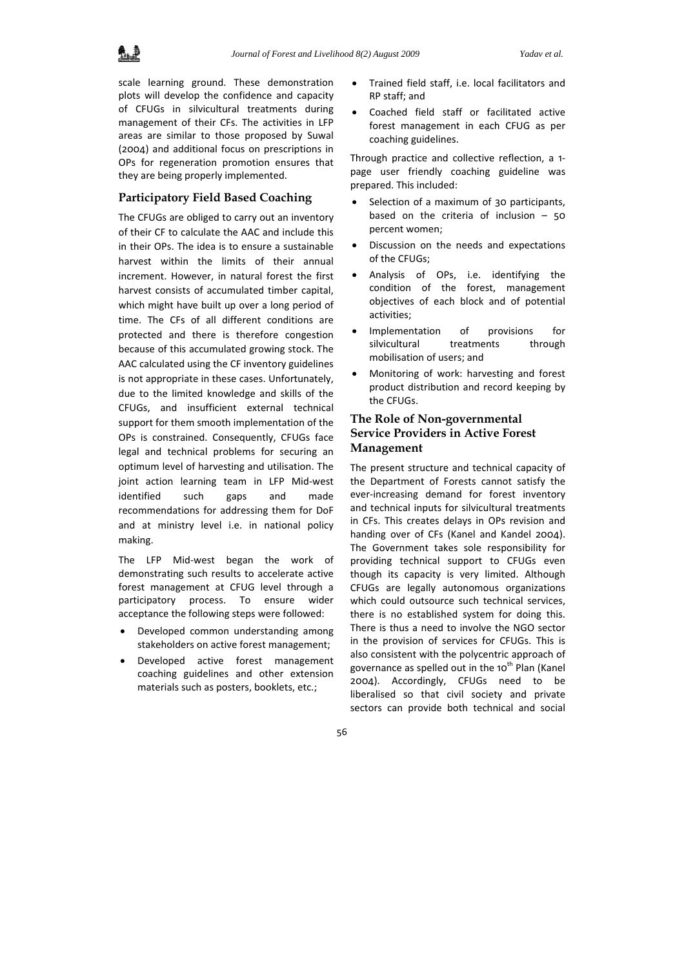

scale learning ground. These demonstration plots will develop the confidence and capacity of CFUGs in silvicultural treatments during management of their CFs. The activities in LFP areas are similar to those proposed by Suwal (2004) and additional focus on prescriptions in OPs for regeneration promotion ensures that they are being properly implemented.

## **Participatory Field Based Coaching**

The CFUGs are obliged to carry out an inventory of their CF to calculate the AAC and include this in their OPs. The idea is to ensure a sustainable harvest within the limits of their annual increment. However, in natural forest the first harvest consists of accumulated timber capital, which might have built up over a long period of time. The CFs of all different conditions are protected and there is therefore congestion because of this accumulated growing stock. The AAC calculated using the CF inventory guidelines is not appropriate in these cases. Unfortunately, due to the limited knowledge and skills of the CFUGs, and insufficient external technical support for them smooth implementation of the OPs is constrained. Consequently, CFUGs face legal and technical problems for securing an optimum level of harvesting and utilisation. The joint action learning team in LFP Mid‐west identified such gaps and made recommendations for addressing them for DoF and at ministry level i.e. in national policy making.

The LFP Mid‐west began the work of demonstrating such results to accelerate active forest management at CFUG level through a participatory process. To ensure wider acceptance the following steps were followed:

- Developed common understanding among stakeholders on active forest management;
- Developed active forest management coaching guidelines and other extension materials such as posters, booklets, etc.;
- Trained field staff, i.e. local facilitators and RP staff; and
- Coached field staff or facilitated active forest management in each CFUG as per coaching guidelines.

Through practice and collective reflection, a 1‐ page user friendly coaching guideline was prepared. This included:

- Selection of a maximum of 30 participants, based on the criteria of inclusion  $-50$ percent women;
- Discussion on the needs and expectations of the CFUGs;
- Analysis of OPs, i.e. identifying the condition of the forest, management objectives of each block and of potential activities;
- Implementation of provisions for silvicultural treatments through mobilisation of users; and
- Monitoring of work: harvesting and forest product distribution and record keeping by the CFUGs.

## **The Role of Non-governmental Service Providers in Active Forest Management**

The present structure and technical capacity of the Department of Forests cannot satisfy the ever‐increasing demand for forest inventory and technical inputs for silvicultural treatments in CFs. This creates delays in OPs revision and handing over of CFs (Kanel and Kandel 2004). The Government takes sole responsibility for providing technical support to CFUGs even though its capacity is very limited. Although CFUGs are legally autonomous organizations which could outsource such technical services, there is no established system for doing this. There is thus a need to involve the NGO sector in the provision of services for CFUGs. This is also consistent with the polycentric approach of governance as spelled out in the 10<sup>th</sup> Plan (Kanel 2004). Accordingly, CFUGs need to be liberalised so that civil society and private sectors can provide both technical and social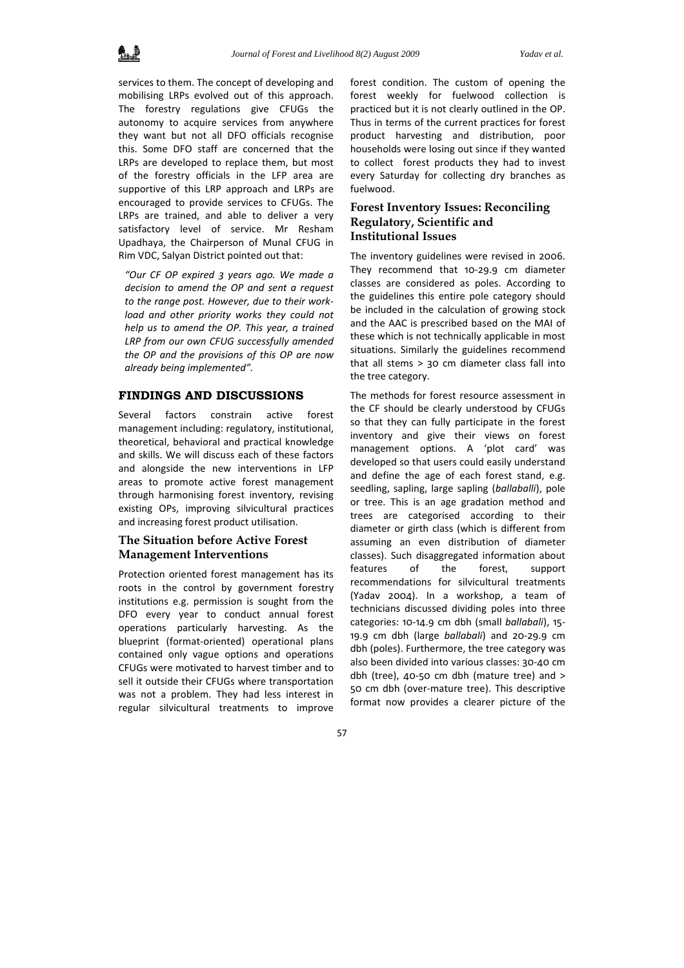services to them. The concept of developing and mobilising LRPs evolved out of this approach. The forestry regulations give CFUGs the autonomy to acquire services from anywhere they want but not all DFO officials recognise this. Some DFO staff are concerned that the LRPs are developed to replace them, but most of the forestry officials in the LFP area are supportive of this LRP approach and LRPs are encouraged to provide services to CFUGs. The LRPs are trained, and able to deliver a very satisfactory level of service. Mr Resham Upadhaya, the Chairperson of Munal CFUG in Rim VDC, Salyan District pointed out that:

*"Our CF OP expired 3 years ago. We made a decision to amend the OP and sent a request to the range post. However, due to their work‐ load and other priority works they could not help us to amend the OP. This year, a trained LRP from our own CFUG successfully amended the OP and the provisions of this OP are now already being implemented".*

## **FINDINGS AND DISCUSSIONS**

Several factors constrain active forest management including: regulatory, institutional, theoretical, behavioral and practical knowledge and skills. We will discuss each of these factors and alongside the new interventions in LFP areas to promote active forest management through harmonising forest inventory, revising existing OPs, improving silvicultural practices and increasing forest product utilisation.

## **The Situation before Active Forest Management Interventions**

Protection oriented forest management has its roots in the control by government forestry institutions e.g. permission is sought from the DFO every year to conduct annual forest operations particularly harvesting. As the blueprint (format‐oriented) operational plans contained only vague options and operations CFUGs were motivated to harvest timber and to sell it outside their CFUGs where transportation was not a problem. They had less interest in regular silvicultural treatments to improve

forest condition. The custom of opening the forest weekly for fuelwood collection is practiced but it is not clearly outlined in the OP. Thus in terms of the current practices for forest product harvesting and distribution, poor households were losing out since if they wanted to collect forest products they had to invest every Saturday for collecting dry branches as fuelwood.

# **Forest Inventory Issues: Reconciling Regulatory, Scientific and Institutional Issues**

The inventory guidelines were revised in 2006. They recommend that 10‐29.9 cm diameter classes are considered as poles. According to the guidelines this entire pole category should be included in the calculation of growing stock and the AAC is prescribed based on the MAI of these which is not technically applicable in most situations. Similarly the guidelines recommend that all stems > 30 cm diameter class fall into the tree category.

The methods for forest resource assessment in the CF should be clearly understood by CFUGs so that they can fully participate in the forest inventory and give their views on forest management options. A 'plot card' was developed so that users could easily understand and define the age of each forest stand, e.g. seedling, sapling, large sapling (*ballaballi*), pole or tree. This is an age gradation method and trees are categorised according to their diameter or girth class (which is different from assuming an even distribution of diameter classes). Such disaggregated information about features of the forest, support recommendations for silvicultural treatments (Yadav 2004). In a workshop, a team of technicians discussed dividing poles into three categories: 10‐14.9 cm dbh (small *ballabali*), 15‐ 19.9 cm dbh (large *ballabali*) and 20‐29.9 cm dbh (poles). Furthermore, the tree category was also been divided into various classes: 30‐40 cm dbh (tree), 40‐50 cm dbh (mature tree) and > 50 cm dbh (over‐mature tree). This descriptive format now provides a clearer picture of the

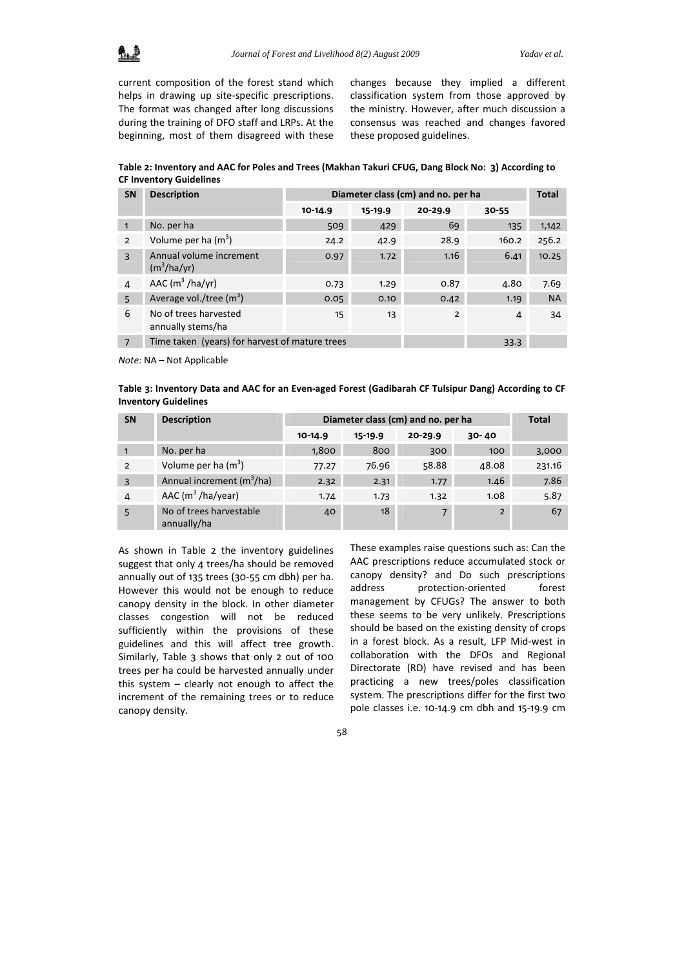

current composition of the forest stand which helps in drawing up site-specific prescriptions. The format was changed after long discussions during the training of DFO staff and LRPs. At the beginning, most of them disagreed with these changes because they implied a different classification system from those approved by the ministry. However, after much discussion a consensus was reached and changes favored these proposed guidelines.

Table 2: Inventory and AAC for Poles and Trees (Makhan Takuri CFUG, Dang Block No: 3) According to **CF Inventory Guidelines**

| <b>SN</b>       | <b>Description</b>                             | Diameter class (cm) and no. per ha |         |                |           |           |
|-----------------|------------------------------------------------|------------------------------------|---------|----------------|-----------|-----------|
|                 |                                                | $10 - 14.9$                        | 15-19.9 | 20-29.9        | $30 - 55$ |           |
| $\mathbf{1}$    | No. per ha                                     | 509                                | 429     | 69             | 135       | 1,142     |
| $\overline{2}$  | Volume per ha $(m^3)$                          | 24.2                               | 42.9    | 28.9           | 160.2     | 256.2     |
| $\mathbf{3}$    | Annual volume increment<br>$(m^3/ha/yr)$       | 0.97                               | 1.72    | 1.16           | 6.41      | 10.25     |
| 4               | AAC $(m^3/ha/yr)$                              | 0.73                               | 1.29    | 0.87           | 4.80      | 7.69      |
| $5\overline{2}$ | Average vol./tree $(m^3)$                      | 0.05                               | 0.10    | 0.42           | 1.19      | <b>NA</b> |
| 6               | No of trees harvested<br>annually stems/ha     | 15                                 | 13      | $\overline{2}$ | 4         | 34        |
| $\overline{7}$  | Time taken (years) for harvest of mature trees |                                    |         |                | 33.3      |           |

*Note:* NA – Not Applicable

Table 3: Inventory Data and AAC for an Even-aged Forest (Gadibarah CF Tulsipur Dang) According to CF **Inventory Guidelines**

| <b>SN</b>     | Diameter class (cm) and no. per ha<br><b>Description</b> |             |         |                |                | <b>Total</b> |  |
|---------------|----------------------------------------------------------|-------------|---------|----------------|----------------|--------------|--|
|               |                                                          | $10 - 14.9$ | 15-19.9 | 20-29.9        | $30 - 40$      |              |  |
|               | No. per ha                                               | 1,800       | 800     | 300            | 100            | 3,000        |  |
| $\mathcal{P}$ | Volume per ha $(m^3)$                                    | 77.27       | 76.96   | 58.88          | 48.08          | 231.16       |  |
| 3             | Annual increment $(m^3/ha)$                              | 2.32        | 2.31    | 1.77           | 1.46           | 7.86         |  |
| 4             | AAC $(m^3/ha/year)$                                      | 1.74        | 1.73    | 1.32           | 1.08           | 5.87         |  |
|               | No of trees harvestable<br>annually/ha                   | 40          | 18      | $\overline{7}$ | $\overline{2}$ | 67           |  |

As shown in Table 2 the inventory guidelines suggest that only 4 trees/ha should be removed annually out of 135 trees (30‐55 cm dbh) per ha. However this would not be enough to reduce canopy density in the block. In other diameter classes congestion will not be reduced sufficiently within the provisions of these guidelines and this will affect tree growth. Similarly, Table 3 shows that only 2 out of 100 trees per ha could be harvested annually under this system – clearly not enough to affect the increment of the remaining trees or to reduce canopy density.

These examples raise questions such as: Can the AAC prescriptions reduce accumulated stock or canopy density? and Do such prescriptions address protection-oriented forest management by CFUGs? The answer to both these seems to be very unlikely. Prescriptions should be based on the existing density of crops in a forest block. As a result, LFP Mid‐west in collaboration with the DFOs and Regional Directorate (RD) have revised and has been practicing a new trees/poles classification system. The prescriptions differ for the first two pole classes i.e. 10‐14.9 cm dbh and 15‐19.9 cm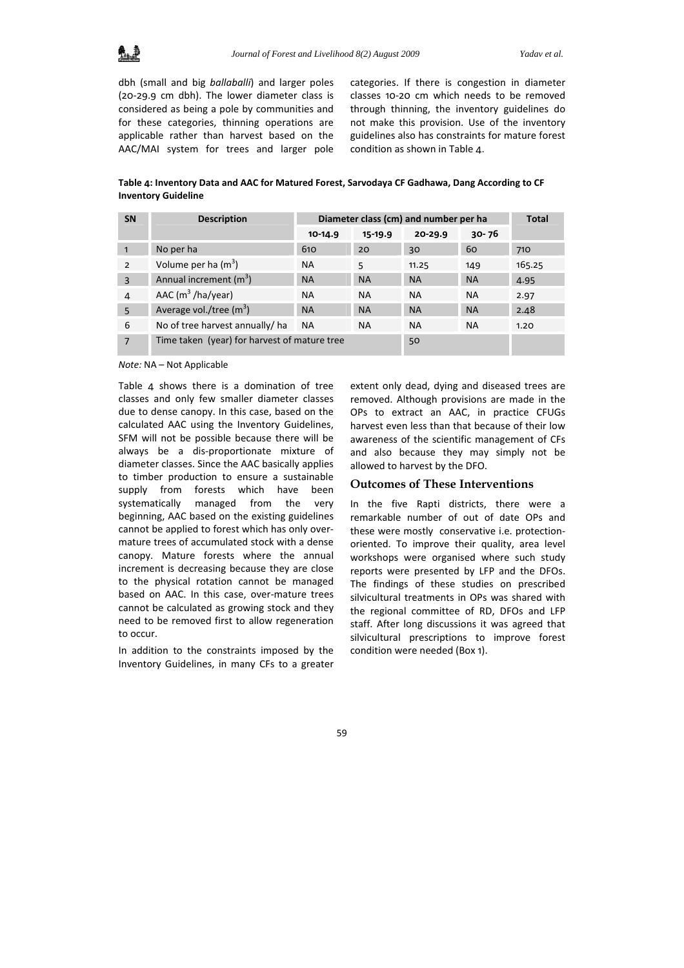dbh (small and big *ballaballi*) and larger poles (20‐29.9 cm dbh). The lower diameter class is considered as being a pole by communities and for these categories, thinning operations are applicable rather than harvest based on the AAC/MAI system for trees and larger pole categories. If there is congestion in diameter classes 10‐20 cm which needs to be removed through thinning, the inventory guidelines do not make this provision. Use of the inventory guidelines also has constraints for mature forest condition as shown in Table 4.

**Table 4: Inventory Data and AAC for Matured Forest, Sarvodaya CF Gadhawa, Dang According to CF Inventory Guideline**

| <b>SN</b>      | <b>Description</b>                           | Diameter class (cm) and number per ha | <b>Total</b> |           |           |        |
|----------------|----------------------------------------------|---------------------------------------|--------------|-----------|-----------|--------|
|                |                                              | $10-14.9$                             | 15-19.9      | 20-29.9   | $30 - 76$ |        |
| $\mathbf{1}$   | No per ha                                    | 610                                   | 20           | 30        | 60        | 710    |
| $\overline{2}$ | Volume per ha $(m^3)$                        | <b>NA</b>                             | 5            | 11.25     | 149       | 165.25 |
| $\overline{3}$ | Annual increment (m <sup>3</sup> )           | <b>NA</b>                             | <b>NA</b>    | <b>NA</b> | <b>NA</b> | 4.95   |
| 4              | AAC $(m^3/ha/year)$                          | <b>NA</b>                             | <b>NA</b>    | <b>NA</b> | <b>NA</b> | 2.97   |
| 5              | Average vol./tree $(m^3)$                    | <b>NA</b>                             | <b>NA</b>    | <b>NA</b> | <b>NA</b> | 2.48   |
| 6              | No of tree harvest annually/ ha              | <b>NA</b>                             | <b>NA</b>    | <b>NA</b> | <b>NA</b> | 1.20   |
| $\overline{7}$ | Time taken (year) for harvest of mature tree |                                       |              | 50        |           |        |

*Note:* NA – Not Applicable

Table 4 shows there is a domination of tree classes and only few smaller diameter classes due to dense canopy. In this case, based on the calculated AAC using the Inventory Guidelines, SFM will not be possible because there will be always be a dis‐proportionate mixture of diameter classes. Since the AAC basically applies to timber production to ensure a sustainable supply from forests which have been systematically managed from the very beginning, AAC based on the existing guidelines cannot be applied to forest which has only over‐ mature trees of accumulated stock with a dense canopy. Mature forests where the annual increment is decreasing because they are close to the physical rotation cannot be managed based on AAC. In this case, over-mature trees cannot be calculated as growing stock and they need to be removed first to allow regeneration to occur.

In addition to the constraints imposed by the Inventory Guidelines, in many CFs to a greater

extent only dead, dying and diseased trees are removed. Although provisions are made in the OPs to extract an AAC, in practice CFUGs harvest even less than that because of their low awareness of the scientific management of CFs and also because they may simply not be allowed to harvest by the DFO.

#### **Outcomes of These Interventions**

In the five Rapti districts, there were a remarkable number of out of date OPs and these were mostly conservative i.e. protection‐ oriented. To improve their quality, area level workshops were organised where such study reports were presented by LFP and the DFOs. The findings of these studies on prescribed silvicultural treatments in OPs was shared with the regional committee of RD, DFOs and LFP staff. After long discussions it was agreed that silvicultural prescriptions to improve forest condition were needed (Box 1).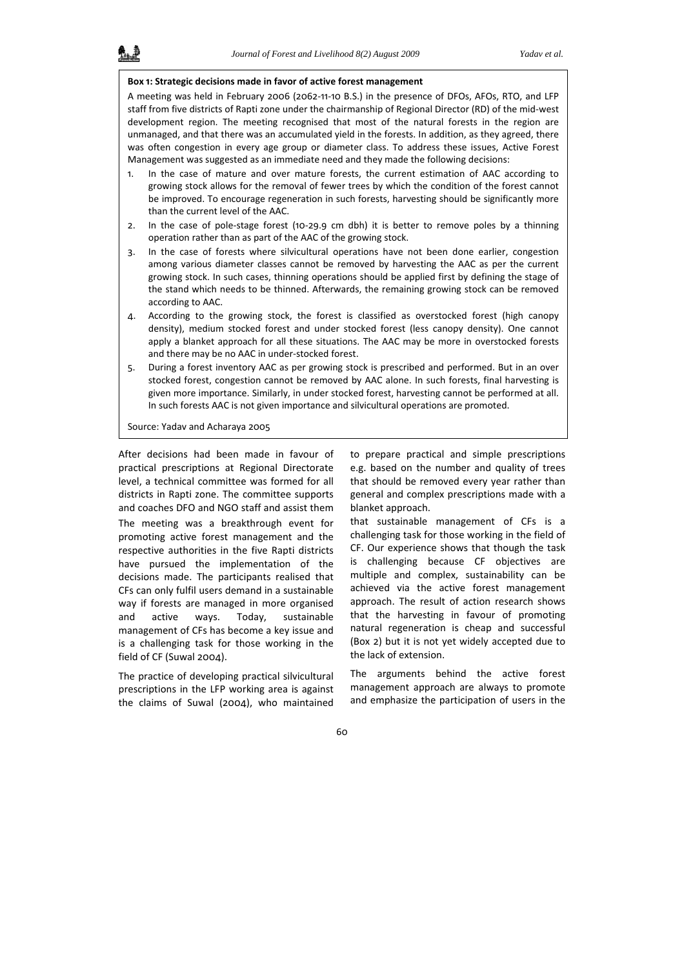#### **Box 1: Strategic decisions made in favor of active forest management**

A meeting was held in February 2006 (2062‐11‐10 B.S.) in the presence of DFOs, AFOs, RTO, and LFP staff from five districts of Rapti zone under the chairmanship of Regional Director (RD) of the mid‐west development region. The meeting recognised that most of the natural forests in the region are unmanaged, and that there was an accumulated yield in the forests. In addition, as they agreed, there was often congestion in every age group or diameter class. To address these issues, Active Forest Management was suggested as an immediate need and they made the following decisions:

- 1. In the case of mature and over mature forests, the current estimation of AAC according to growing stock allows for the removal of fewer trees by which the condition of the forest cannot be improved. To encourage regeneration in such forests, harvesting should be significantly more than the current level of the AAC.
- 2. In the case of pole-stage forest (10-29.9 cm dbh) it is better to remove poles by a thinning operation rather than as part of the AAC of the growing stock.
- 3. In the case of forests where silvicultural operations have not been done earlier, congestion among various diameter classes cannot be removed by harvesting the AAC as per the current growing stock. In such cases, thinning operations should be applied first by defining the stage of the stand which needs to be thinned. Afterwards, the remaining growing stock can be removed according to AAC.
- 4. According to the growing stock, the forest is classified as overstocked forest (high canopy density), medium stocked forest and under stocked forest (less canopy density). One cannot apply a blanket approach for all these situations. The AAC may be more in overstocked forests and there may be no AAC in under‐stocked forest.
- 5. During a forest inventory AAC as per growing stock is prescribed and performed. But in an over stocked forest, congestion cannot be removed by AAC alone. In such forests, final harvesting is given more importance. Similarly, in under stocked forest, harvesting cannot be performed at all. In such forests AAC is not given importance and silvicultural operations are promoted.

Source: Yadav and Acharaya 2005

After decisions had been made in favour of practical prescriptions at Regional Directorate level, a technical committee was formed for all districts in Rapti zone. The committee supports and coaches DFO and NGO staff and assist them The meeting was a breakthrough event for promoting active forest management and the respective authorities in the five Rapti districts have pursued the implementation of the decisions made. The participants realised that CFs can only fulfil users demand in a sustainable way if forests are managed in more organised and active ways. Today, sustainable management of CFs has become a key issue and is a challenging task for those working in the field of CF (Suwal 2004).

The practice of developing practical silvicultural prescriptions in the LFP working area is against the claims of Suwal (2004), who maintained

to prepare practical and simple prescriptions e.g. based on the number and quality of trees that should be removed every year rather than general and complex prescriptions made with a blanket approach.

that sustainable management of CFs is a challenging task for those working in the field of CF. Our experience shows that though the task is challenging because CF objectives are multiple and complex, sustainability can be achieved via the active forest management approach. The result of action research shows that the harvesting in favour of promoting natural regeneration is cheap and successful (Box 2) but it is not yet widely accepted due to the lack of extension.

The arguments behind the active forest management approach are always to promote and emphasize the participation of users in the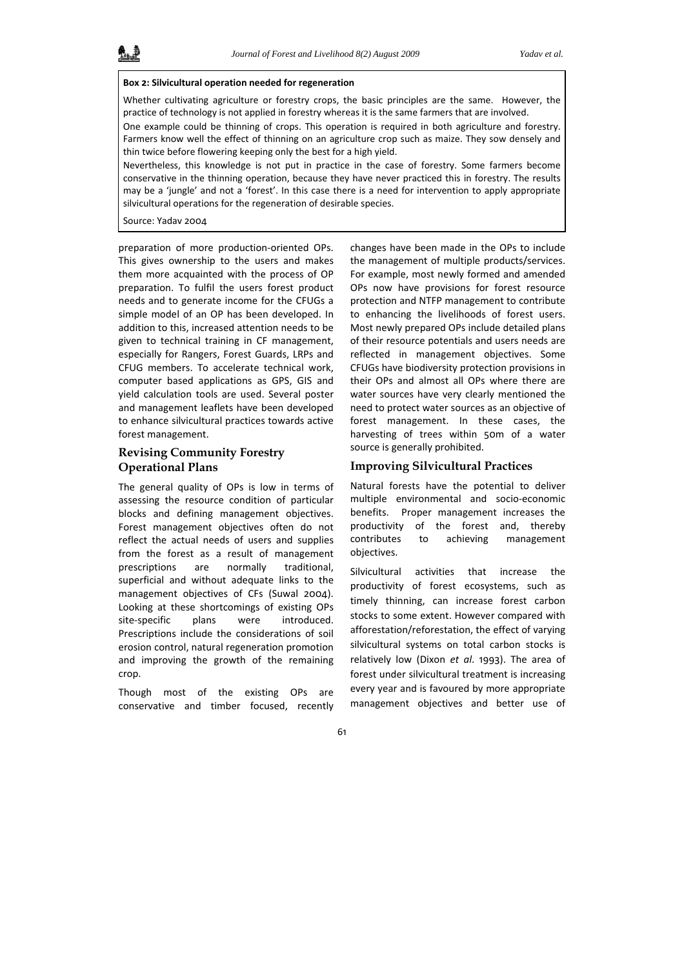#### **Box 2: Silvicultural operation needed for regeneration**

Whether cultivating agriculture or forestry crops, the basic principles are the same. However, the practice of technology is not applied in forestry whereas it is the same farmers that are involved.

One example could be thinning of crops. This operation is required in both agriculture and forestry. Farmers know well the effect of thinning on an agriculture crop such as maize. They sow densely and thin twice before flowering keeping only the best for a high yield.

Nevertheless, this knowledge is not put in practice in the case of forestry. Some farmers become conservative in the thinning operation, because they have never practiced this in forestry. The results may be a 'jungle' and not a 'forest'. In this case there is a need for intervention to apply appropriate silvicultural operations for the regeneration of desirable species.

Source: Yadav 2004

preparation of more production‐oriented OPs. This gives ownership to the users and makes them more acquainted with the process of OP preparation. To fulfil the users forest product needs and to generate income for the CFUGs a simple model of an OP has been developed. In addition to this, increased attention needs to be given to technical training in CF management, especially for Rangers, Forest Guards, LRPs and CFUG members. To accelerate technical work, computer based applications as GPS, GIS and yield calculation tools are used. Several poster and management leaflets have been developed to enhance silvicultural practices towards active forest management.

# **Revising Community Forestry Operational Plans**

The general quality of OPs is low in terms of assessing the resource condition of particular blocks and defining management objectives. Forest management objectives often do not reflect the actual needs of users and supplies from the forest as a result of management prescriptions are normally traditional, superficial and without adequate links to the management objectives of CFs (Suwal 2004). Looking at these shortcomings of existing OPs site-specific plans were introduced. Prescriptions include the considerations of soil erosion control, natural regeneration promotion and improving the growth of the remaining crop.

Though most of the existing OPs are conservative and timber focused, recently

changes have been made in the OPs to include the management of multiple products/services. For example, most newly formed and amended OPs now have provisions for forest resource protection and NTFP management to contribute to enhancing the livelihoods of forest users. Most newly prepared OPs include detailed plans of their resource potentials and users needs are reflected in management objectives. Some CFUGs have biodiversity protection provisions in their OPs and almost all OPs where there are water sources have very clearly mentioned the need to protect water sources as an objective of forest management. In these cases, the harvesting of trees within 50m of a water source is generally prohibited.

#### **Improving Silvicultural Practices**

Natural forests have the potential to deliver multiple environmental and socio‐economic benefits. Proper management increases the productivity of the forest and, thereby contributes to achieving management objectives.

Silvicultural activities that increase the productivity of forest ecosystems, such as timely thinning, can increase forest carbon stocks to some extent. However compared with afforestation/reforestation, the effect of varying silvicultural systems on total carbon stocks is relatively low (Dixon *et al*. 1993). The area of forest under silvicultural treatment is increasing every year and is favoured by more appropriate management objectives and better use of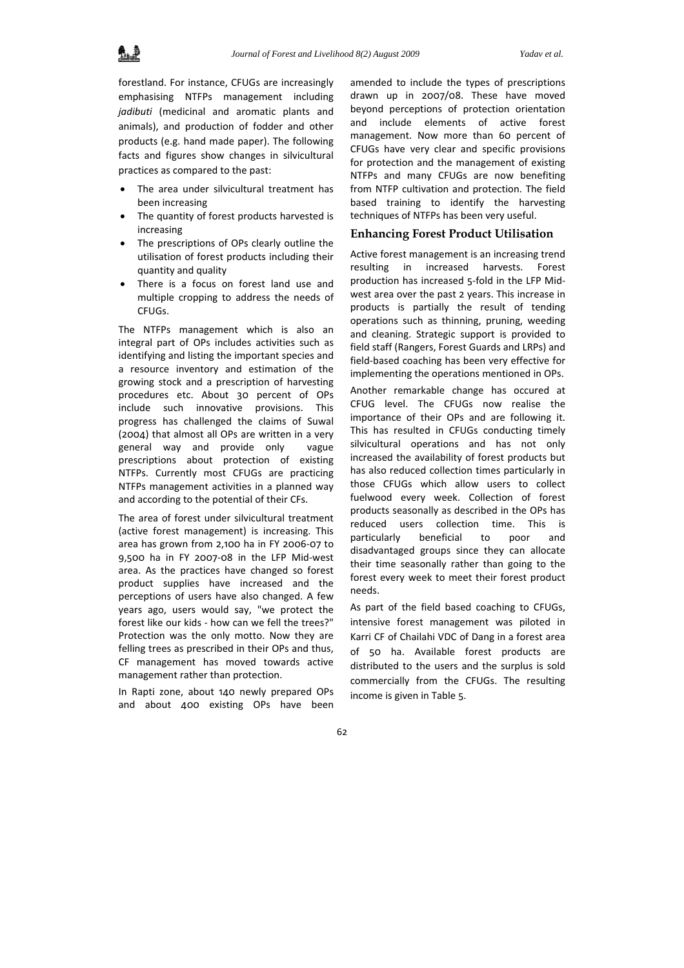forestland. For instance, CFUGs are increasingly emphasising NTFPs management including *jadibuti* (medicinal and aromatic plants and animals), and production of fodder and other products (e.g. hand made paper). The following facts and figures show changes in silvicultural practices as compared to the past:

- The area under silvicultural treatment has been increasing
- The quantity of forest products harvested is increasing
- The prescriptions of OPs clearly outline the utilisation of forest products including their quantity and quality
- There is a focus on forest land use and multiple cropping to address the needs of CFUGs.

The NTFPs management which is also an integral part of OPs includes activities such as identifying and listing the important species and a resource inventory and estimation of the growing stock and a prescription of harvesting procedures etc. About 30 percent of OPs include such innovative provisions. This progress has challenged the claims of Suwal (2004) that almost all OPs are written in a very general way and provide only vague prescriptions about protection of existing NTFPs. Currently most CFUGs are practicing NTFPs management activities in a planned way and according to the potential of their CFs.

The area of forest under silvicultural treatment (active forest management) is increasing. This area has grown from 2,100 ha in FY 2006‐07 to 9,500 ha in FY 2007‐08 in the LFP Mid‐west area. As the practices have changed so forest product supplies have increased and the perceptions of users have also changed. A few years ago, users would say, "we protect the forest like our kids ‐ how can we fell the trees?" Protection was the only motto. Now they are felling trees as prescribed in their OPs and thus, CF management has moved towards active management rather than protection.

In Rapti zone, about 140 newly prepared OPs and about 400 existing OPs have been

amended to include the types of prescriptions drawn up in 2007/08. These have moved beyond perceptions of protection orientation and include elements of active forest management. Now more than 60 percent of CFUGs have very clear and specific provisions for protection and the management of existing NTFPs and many CFUGs are now benefiting from NTFP cultivation and protection. The field based training to identify the harvesting techniques of NTFPs has been very useful.

### **Enhancing Forest Product Utilisation**

Active forest management is an increasing trend resulting in increased harvests. Forest production has increased 5‐fold in the LFP Mid‐ west area over the past 2 years. This increase in products is partially the result of tending operations such as thinning, pruning, weeding and cleaning. Strategic support is provided to field staff (Rangers, Forest Guards and LRPs) and field‐based coaching has been very effective for implementing the operations mentioned in OPs.

Another remarkable change has occured at CFUG level. The CFUGs now realise the importance of their OPs and are following it. This has resulted in CFUGs conducting timely silvicultural operations and has not only increased the availability of forest products but has also reduced collection times particularly in those CFUGs which allow users to collect fuelwood every week. Collection of forest products seasonally as described in the OPs has reduced users collection time. This is particularly beneficial to poor and disadvantaged groups since they can allocate their time seasonally rather than going to the forest every week to meet their forest product needs.

As part of the field based coaching to CFUGs, intensive forest management was piloted in Karri CF of Chailahi VDC of Dang in a forest area of 50 ha. Available forest products are distributed to the users and the surplus is sold commercially from the CFUGs. The resulting income is given in Table 5.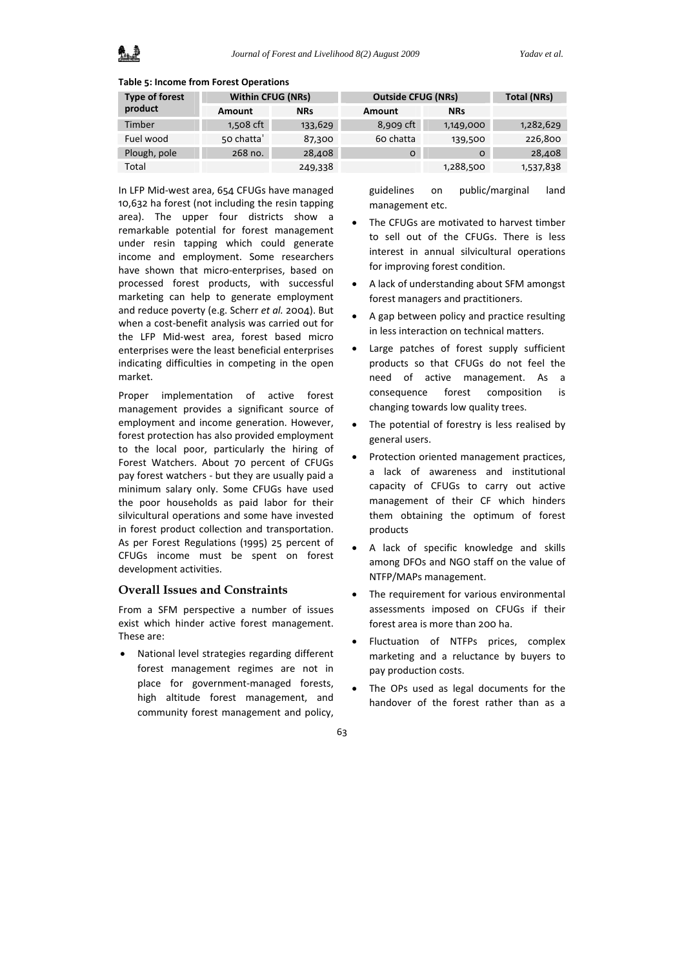#### **Table 5: Income from Forest Operations**

| <b>Type of forest</b> | <b>Within CFUG (NRs)</b> |            | <b>Outside CFUG (NRs)</b> | Total (NRs) |           |
|-----------------------|--------------------------|------------|---------------------------|-------------|-----------|
| product               | Amount                   | <b>NRs</b> | Amount                    | <b>NRs</b>  |           |
| Timber                | 1,508 cft                | 133,629    | 8,909 cft                 | 1,149,000   | 1,282,629 |
| Fuel wood             | 50 chatta                | 87,300     | 60 chatta                 | 139,500     | 226,800   |
| Plough, pole          | 268 no.                  | 28,408     | $\Omega$                  | O           | 28,408    |
| Total                 |                          | 249,338    |                           | 1,288,500   | 1,537,838 |

In LFP Mid‐west area, 654 CFUGs have managed 10,632 ha forest (not including the resin tapping area). The upper four districts show a remarkable potential for forest management under resin tapping which could generate income and employment. Some researchers have shown that micro-enterprises, based on processed forest products, with successful marketing can help to generate employment and reduce poverty (e.g. Scherr *et al.* 2004). But when a cost-benefit analysis was carried out for the LFP Mid‐west area, forest based micro enterprises were the least beneficial enterprises indicating difficulties in competing in the open market.

Proper implementation of active forest management provides a significant source of employment and income generation. However, forest protection has also provided employment to the local poor, particularly the hiring of Forest Watchers. About 70 percent of CFUGs pay forest watchers ‐ but they are usually paid a minimum salary only. Some CFUGs have used the poor households as paid labor for their silvicultural operations and some have invested in forest product collection and transportation. As per Forest Regulations (1995) 25 percent of CFUGs income must be spent on forest development activities.

#### **Overall Issues and Constraints**

From a SFM perspective a number of issues exist which hinder active forest management. These are:

• National level strategies regarding different forest management regimes are not in place for government‐managed forests, high altitude forest management, and community forest management and policy,

guidelines on public/marginal land management etc.

- The CFUGs are motivated to harvest timber to sell out of the CFUGs. There is less interest in annual silvicultural operations for improving forest condition.
- A lack of understanding about SFM amongst forest managers and practitioners.
- A gap between policy and practice resulting in less interaction on technical matters.
- Large patches of forest supply sufficient products so that CFUGs do not feel the need of active management. As a consequence forest composition is changing towards low quality trees.
- The potential of forestry is less realised by general users.
- Protection oriented management practices, a lack of awareness and institutional capacity of CFUGs to carry out active management of their CF which hinders them obtaining the optimum of forest products
- A lack of specific knowledge and skills among DFOs and NGO staff on the value of NTFP/MAPs management.
- The requirement for various environmental assessments imposed on CFUGs if their forest area is more than 200 ha.
- Fluctuation of NTFPs prices, complex marketing and a reluctance by buyers to pay production costs.
- The OPs used as legal documents for the handover of the forest rather than as a
- 63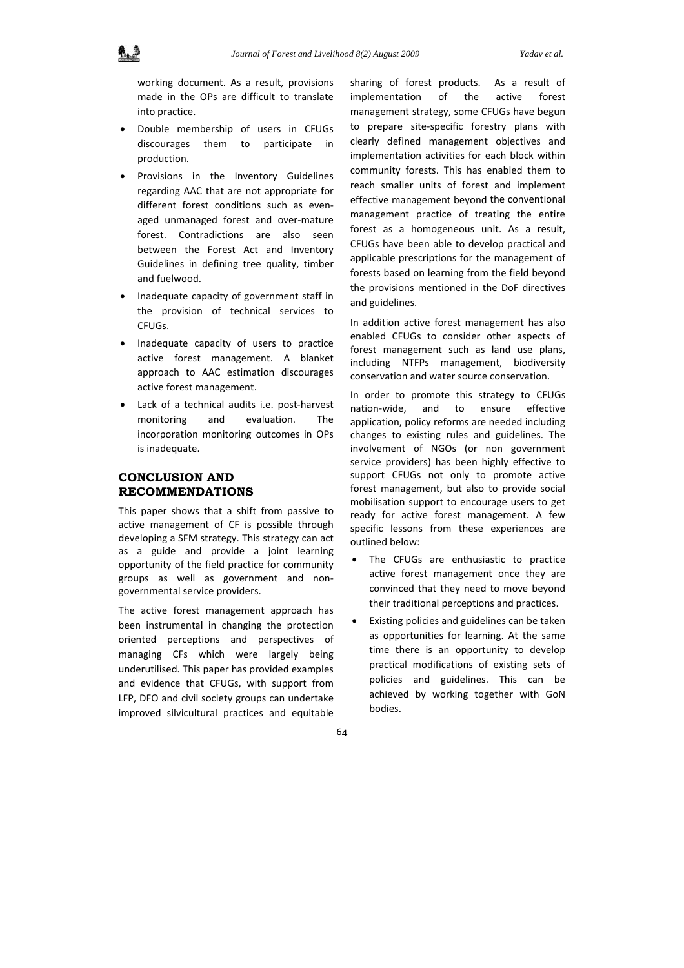working document. As a result, provisions made in the OPs are difficult to translate into practice.

- Double membership of users in CFUGs discourages them to participate in production.
- Provisions in the Inventory Guidelines regarding AAC that are not appropriate for different forest conditions such as evenaged unmanaged forest and over‐mature forest. Contradictions are also seen between the Forest Act and Inventory Guidelines in defining tree quality, timber and fuelwood.
- Inadequate capacity of government staff in the provision of technical services to CFUGs.
- Inadequate capacity of users to practice active forest management. A blanket approach to AAC estimation discourages active forest management.
- Lack of a technical audits i.e. post‐harvest monitoring and evaluation. The incorporation monitoring outcomes in OPs is inadequate.

## **CONCLUSION AND RECOMMENDATIONS**

This paper shows that a shift from passive to active management of CF is possible through developing a SFM strategy. This strategy can act as a guide and provide a joint learning opportunity of the field practice for community groups as well as government and non‐ governmental service providers.

The active forest management approach has been instrumental in changing the protection oriented perceptions and perspectives of managing CFs which were largely being underutilised. This paper has provided examples and evidence that CFUGs, with support from LFP, DFO and civil society groups can undertake improved silvicultural practices and equitable

sharing of forest products. As a result of implementation of the active forest management strategy, some CFUGs have begun to prepare site‐specific forestry plans with clearly defined management objectives and implementation activities for each block within community forests. This has enabled them to reach smaller units of forest and implement effective management beyond the conventional management practice of treating the entire forest as a homogeneous unit. As a result, CFUGs have been able to develop practical and applicable prescriptions for the management of forests based on learning from the field beyond the provisions mentioned in the DoF directives and guidelines.

In addition active forest management has also enabled CFUGs to consider other aspects of forest management such as land use plans, including NTFPs management, biodiversity conservation and water source conservation.

In order to promote this strategy to CFUGs nation‐wide, and to ensure effective application, policy reforms are needed including changes to existing rules and guidelines. The involvement of NGOs (or non government service providers) has been highly effective to support CFUGs not only to promote active forest management, but also to provide social mobilisation support to encourage users to get ready for active forest management. A few specific lessons from these experiences are outlined below:

- The CFUGs are enthusiastic to practice active forest management once they are convinced that they need to move beyond their traditional perceptions and practices.
- Existing policies and guidelines can be taken as opportunities for learning. At the same time there is an opportunity to develop practical modifications of existing sets of policies and guidelines. This can be achieved by working together with GoN bodies.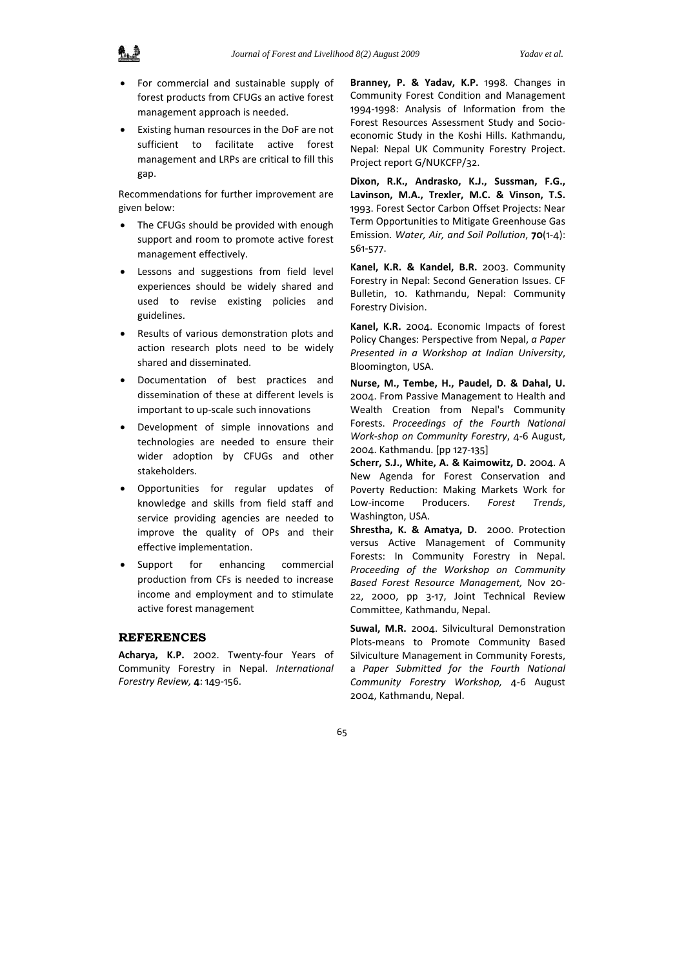

- For commercial and sustainable supply of forest products from CFUGs an active forest management approach is needed.
- Existing human resources in the DoF are not sufficient to facilitate active forest management and LRPs are critical to fill this gap.

Recommendations for further improvement are given below:

- The CFUGs should be provided with enough support and room to promote active forest management effectively.
- Lessons and suggestions from field level experiences should be widely shared and used to revise existing policies and guidelines.
- Results of various demonstration plots and action research plots need to be widely shared and disseminated.
- Documentation of best practices and dissemination of these at different levels is important to up‐scale such innovations
- Development of simple innovations and technologies are needed to ensure their wider adoption by CFUGs and other stakeholders.
- Opportunities for regular updates of knowledge and skills from field staff and service providing agencies are needed to improve the quality of OPs and their effective implementation.
- Support for enhancing commercial production from CFs is needed to increase income and employment and to stimulate active forest management

#### **REFERENCES**

**Acharya, K.P.** 2002. Twenty‐four Years of Community Forestry in Nepal. *International Forestry Review,* **4**: 149‐156.

**Branney, P. & Yadav, K.P.** 1998. Changes in Community Forest Condition and Management 1994‐1998: Analysis of Information from the Forest Resources Assessment Study and Socio‐ economic Study in the Koshi Hills. Kathmandu, Nepal: Nepal UK Community Forestry Project. Project report G/NUKCFP/32.

**Dixon, R.K., Andrasko, K.J., Sussman, F.G., Lavinson, M.A., Trexler, M.C. & Vinson, T.S.** 1993. Forest Sector Carbon Offset Projects: Near Term Opportunities to Mitigate Greenhouse Gas Emission. *Water, Air, and Soil Pollution*, **70**(1‐4): 561‐577.

**Kanel, K.R. & Kandel, B.R.** 2003. Community Forestry in Nepal: Second Generation Issues. CF Bulletin, 10. Kathmandu, Nepal: Community Forestry Division.

**Kanel, K.R.** 2004. Economic Impacts of forest Policy Changes: Perspective from Nepal, *a Paper Presented in a Workshop at Indian University*, Bloomington, USA.

**Nurse, M., Tembe, H., Paudel, D. & Dahal, U.** 2004. From Passive Management to Health and Wealth Creation from Nepal's Community Forests. *Proceedings of the Fourth National Work‐shop on Community Forestry*, 4‐6 August, 2004. Kathmandu. [pp 127‐135]

**Scherr, S.J., White, A. & Kaimowitz, D.** 2004. A New Agenda for Forest Conservation and Poverty Reduction: Making Markets Work for Low‐income Producers. *Forest Trends*, Washington, USA.

**Shrestha, K. & Amatya, D.** 2000. Protection versus Active Management of Community Forests: In Community Forestry in Nepal. *Proceeding of the Workshop on Community Based Forest Resource Management,* Nov 20‐ 22, 2000, pp 3‐17, Joint Technical Review Committee, Kathmandu, Nepal.

**Suwal, M.R.** 2004. Silvicultural Demonstration Plots‐means to Promote Community Based Silviculture Management in Community Forests, a *Paper Submitted for the Fourth National Community Forestry Workshop,* 4‐6 August 2004, Kathmandu, Nepal.